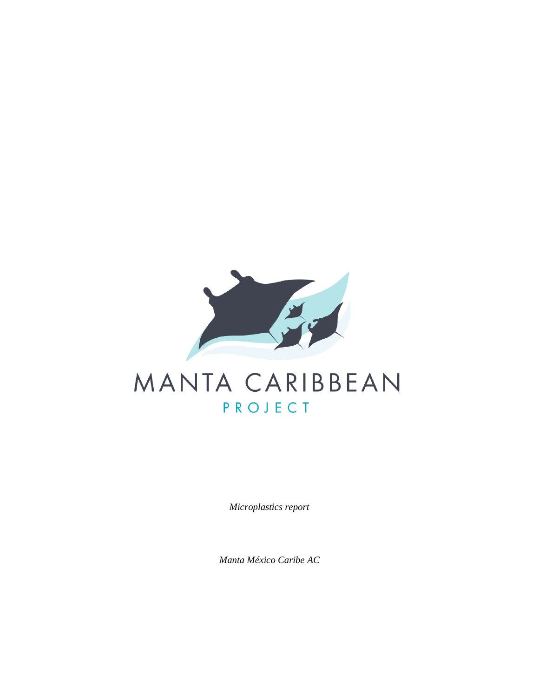

# MANTA CARIBBEAN PROJECT

*Microplastics report*

*Manta México Caribe AC*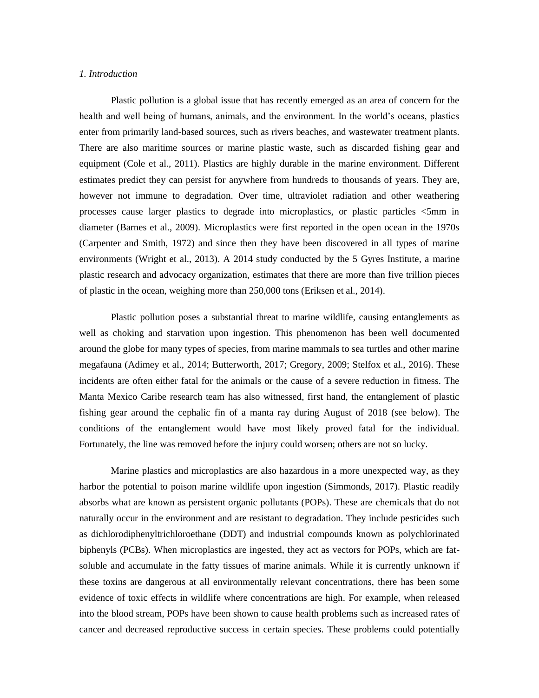# *1. Introduction*

Plastic pollution is a global issue that has recently emerged as an area of concern for the health and well being of humans, animals, and the environment. In the world's oceans, plastics enter from primarily land-based sources, such as rivers beaches, and wastewater treatment plants. There are also maritime sources or marine plastic waste, such as discarded fishing gear and equipment (Cole et al., 2011). Plastics are highly durable in the marine environment. Different estimates predict they can persist for anywhere from hundreds to thousands of years. They are, however not immune to degradation. Over time, ultraviolet radiation and other weathering processes cause larger plastics to degrade into microplastics, or plastic particles <5mm in diameter (Barnes et al., 2009). Microplastics were first reported in the open ocean in the 1970s (Carpenter and Smith, 1972) and since then they have been discovered in all types of marine environments (Wright et al., 2013). A 2014 study conducted by the 5 Gyres Institute, a marine plastic research and advocacy organization, estimates that there are more than five trillion pieces of plastic in the ocean, weighing more than 250,000 tons (Eriksen et al., 2014).

Plastic pollution poses a substantial threat to marine wildlife, causing entanglements as well as choking and starvation upon ingestion. This phenomenon has been well documented around the globe for many types of species, from marine mammals to sea turtles and other marine megafauna (Adimey et al., 2014; Butterworth, 2017; Gregory, 2009; Stelfox et al., 2016). These incidents are often either fatal for the animals or the cause of a severe reduction in fitness. The Manta Mexico Caribe research team has also witnessed, first hand, the entanglement of plastic fishing gear around the cephalic fin of a manta ray during August of 2018 (see below). The conditions of the entanglement would have most likely proved fatal for the individual. Fortunately, the line was removed before the injury could worsen; others are not so lucky.

Marine plastics and microplastics are also hazardous in a more unexpected way, as they harbor the potential to poison marine wildlife upon ingestion (Simmonds, 2017). Plastic readily absorbs what are known as persistent organic pollutants (POPs). These are chemicals that do not naturally occur in the environment and are resistant to degradation. They include pesticides such as dichlorodiphenyltrichloroethane (DDT) and industrial compounds known as polychlorinated biphenyls (PCBs). When microplastics are ingested, they act as vectors for POPs, which are fatsoluble and accumulate in the fatty tissues of marine animals. While it is currently unknown if these toxins are dangerous at all environmentally relevant concentrations, there has been some evidence of toxic effects in wildlife where concentrations are high. For example, when released into the blood stream, POPs have been shown to cause health problems such as increased rates of cancer and decreased reproductive success in certain species. These problems could potentially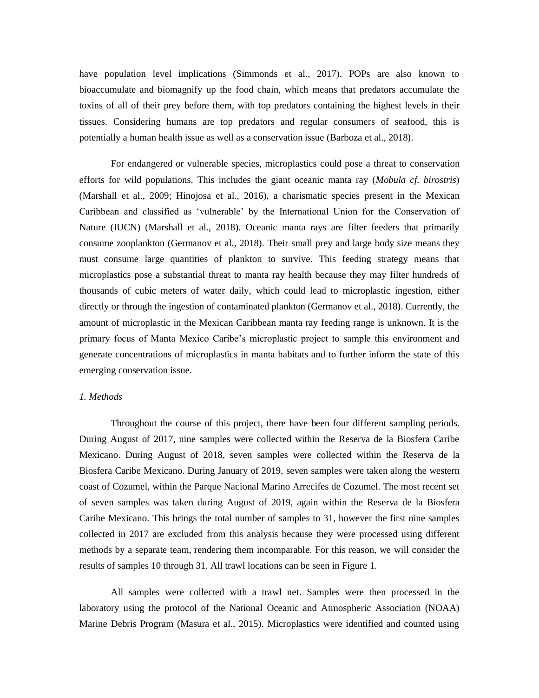have population level implications (Simmonds et al., 2017). POPs are also known to bioaccumulate and biomagnify up the food chain, which means that predators accumulate the toxins of all of their prey before them, with top predators containing the highest levels in their tissues. Considering humans are top predators and regular consumers of seafood, this is potentially a human health issue as well as a conservation issue (Barboza et al., 2018).

For endangered or vulnerable species, microplastics could pose a threat to conservation efforts for wild populations. This includes the giant oceanic manta ray (*Mobula cf. birostris*) (Marshall et al., 2009; Hinojosa et al., 2016), a charismatic species present in the Mexican Caribbean and classified as 'vulnerable' by the International Union for the Conservation of Nature (IUCN) (Marshall et al., 2018). Oceanic manta rays are filter feeders that primarily consume zooplankton (Germanov et al., 2018). Their small prey and large body size means they must consume large quantities of plankton to survive. This feeding strategy means that microplastics pose a substantial threat to manta ray health because they may filter hundreds of thousands of cubic meters of water daily, which could lead to microplastic ingestion, either directly or through the ingestion of contaminated plankton (Germanov et al., 2018). Currently, the amount of microplastic in the Mexican Caribbean manta ray feeding range is unknown. It is the primary focus of Manta Mexico Caribe's microplastic project to sample this environment and generate concentrations of microplastics in manta habitats and to further inform the state of this emerging conservation issue.

#### *1. Methods*

Throughout the course of this project, there have been four different sampling periods. During August of 2017, nine samples were collected within the Reserva de la Biosfera Caribe Mexicano. During August of 2018, seven samples were collected within the Reserva de la Biosfera Caribe Mexicano. During January of 2019, seven samples were taken along the western coast of Cozumel, within the Parque Nacional Marino Arrecifes de Cozumel. The most recent set of seven samples was taken during August of 2019, again within the Reserva de la Biosfera Caribe Mexicano. This brings the total number of samples to 31, however the first nine samples collected in 2017 are excluded from this analysis because they were processed using different methods by a separate team, rendering them incomparable. For this reason, we will consider the results of samples 10 through 31. All trawl locations can be seen in Figure 1.

All samples were collected with a trawl net. Samples were then processed in the laboratory using the protocol of the National Oceanic and Atmospheric Association (NOAA) Marine Debris Program (Masura et al., 2015). Microplastics were identified and counted using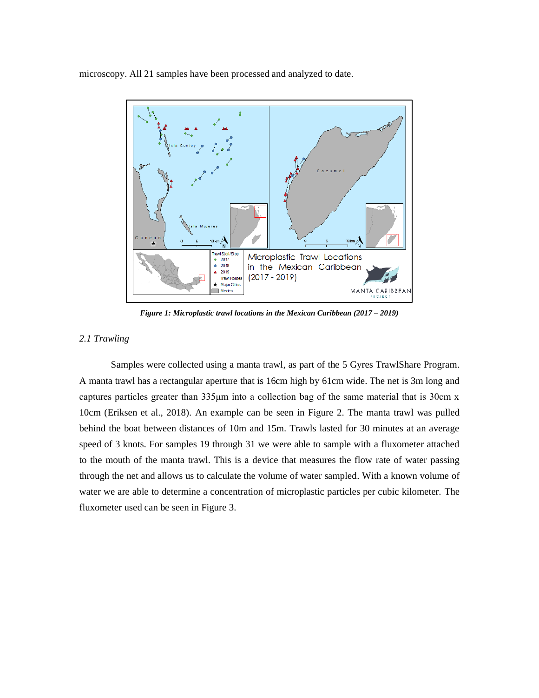microscopy. All 21 samples have been processed and analyzed to date.



*Figure 1: Microplastic trawl locations in the Mexican Caribbean (2017 – 2019)*

## *2.1 Trawling*

Samples were collected using a manta trawl, as part of the 5 Gyres TrawlShare Program. A manta trawl has a rectangular aperture that is 16cm high by 61cm wide. The net is 3m long and captures particles greater than 335μm into a collection bag of the same material that is 30cm x 10cm (Eriksen et al., 2018). An example can be seen in Figure 2. The manta trawl was pulled behind the boat between distances of 10m and 15m. Trawls lasted for 30 minutes at an average speed of 3 knots. For samples 19 through 31 we were able to sample with a fluxometer attached to the mouth of the manta trawl. This is a device that measures the flow rate of water passing through the net and allows us to calculate the volume of water sampled. With a known volume of water we are able to determine a concentration of microplastic particles per cubic kilometer. The fluxometer used can be seen in Figure 3.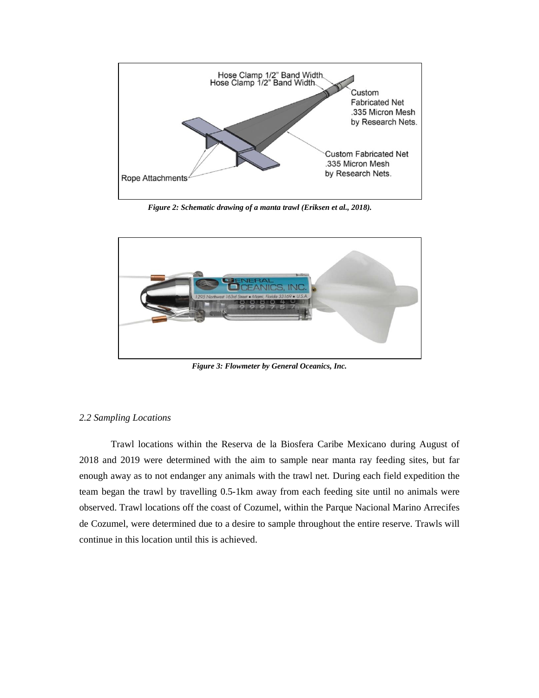

*Figure 2: Schematic drawing of a manta trawl (Eriksen et al., 2018).*



*Figure 3: Flowmeter by General Oceanics, Inc.*

#### *2.2 Sampling Locations*

Trawl locations within the Reserva de la Biosfera Caribe Mexicano during August of 2018 and 2019 were determined with the aim to sample near manta ray feeding sites, but far enough away as to not endanger any animals with the trawl net. During each field expedition the team began the trawl by travelling 0.5-1km away from each feeding site until no animals were observed. Trawl locations off the coast of Cozumel, within the Parque Nacional Marino Arrecifes de Cozumel, were determined due to a desire to sample throughout the entire reserve. Trawls will continue in this location until this is achieved.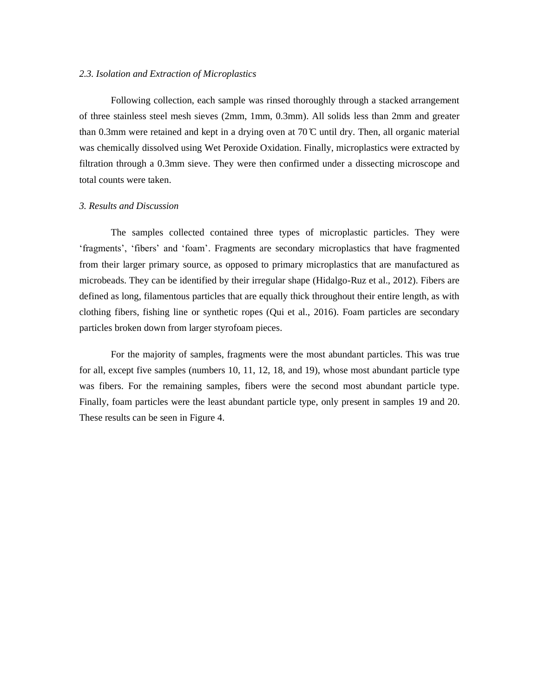### *2.3. Isolation and Extraction of Microplastics*

Following collection, each sample was rinsed thoroughly through a stacked arrangement of three stainless steel mesh sieves (2mm, 1mm, 0.3mm). All solids less than 2mm and greater than 0.3mm were retained and kept in a drying oven at 70  $\mathbb{C}$  until dry. Then, all organic material was chemically dissolved using Wet Peroxide Oxidation. Finally, microplastics were extracted by filtration through a 0.3mm sieve. They were then confirmed under a dissecting microscope and total counts were taken.

#### *3. Results and Discussion*

The samples collected contained three types of microplastic particles. They were 'fragments', 'fibers' and 'foam'. Fragments are secondary microplastics that have fragmented from their larger primary source, as opposed to primary microplastics that are manufactured as microbeads. They can be identified by their irregular shape (Hidalgo-Ruz et al., 2012). Fibers are defined as long, filamentous particles that are equally thick throughout their entire length, as with clothing fibers, fishing line or synthetic ropes (Qui et al., 2016). Foam particles are secondary particles broken down from larger styrofoam pieces.

For the majority of samples, fragments were the most abundant particles. This was true for all, except five samples (numbers 10, 11, 12, 18, and 19), whose most abundant particle type was fibers. For the remaining samples, fibers were the second most abundant particle type. Finally, foam particles were the least abundant particle type, only present in samples 19 and 20. These results can be seen in Figure 4.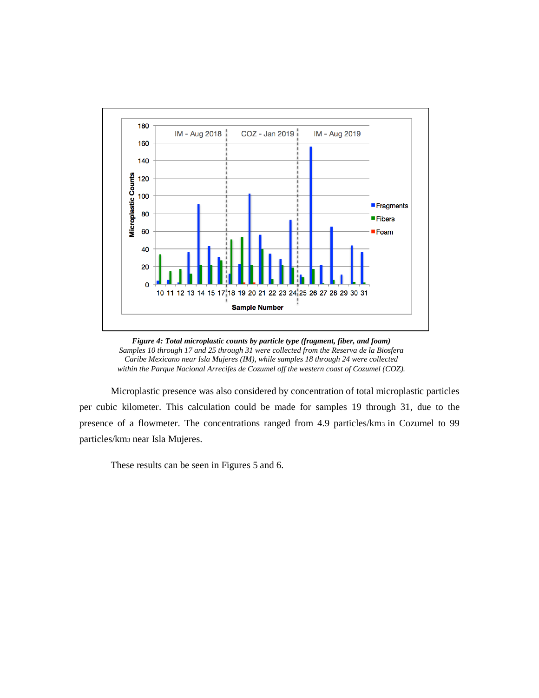

*Figure 4: Total microplastic counts by particle type (fragment, fiber, and foam) Samples 10 through 17 and 25 through 31 were collected from the Reserva de la Biosfera Caribe Mexicano near Isla Mujeres (IM), while samples 18 through 24 were collected within the Parque Nacional Arrecifes de Cozumel off the western coast of Cozumel (COZ).*

Microplastic presence was also considered by concentration of total microplastic particles per cubic kilometer. This calculation could be made for samples 19 through 31, due to the presence of a flowmeter. The concentrations ranged from 4.9 particles/km<sup>3</sup> in Cozumel to 99 particles/km<sup>3</sup> near Isla Mujeres.

These results can be seen in Figures 5 and 6.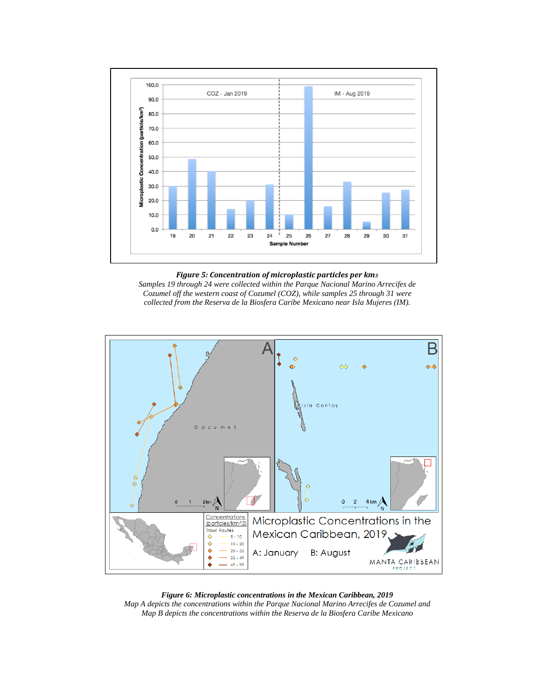

#### *Figure 5: Concentration of microplastic particles per km<sup>3</sup>*

*Samples 19 through 24 were collected within the Parque Nacional Marino Arrecifes de Cozumel off the western coast of Cozumel (COZ), while samples 25 through 31 were collected from the Reserva de la Biosfera Caribe Mexicano near Isla Mujeres (IM).*



*Figure 6: Microplastic concentrations in the Mexican Caribbean, 2019 Map A depicts the concentrations within the Parque Nacional Marino Arrecifes de Cozumel and Map B depicts the concentrations within the Reserva de la Biosfera Caribe Mexicano*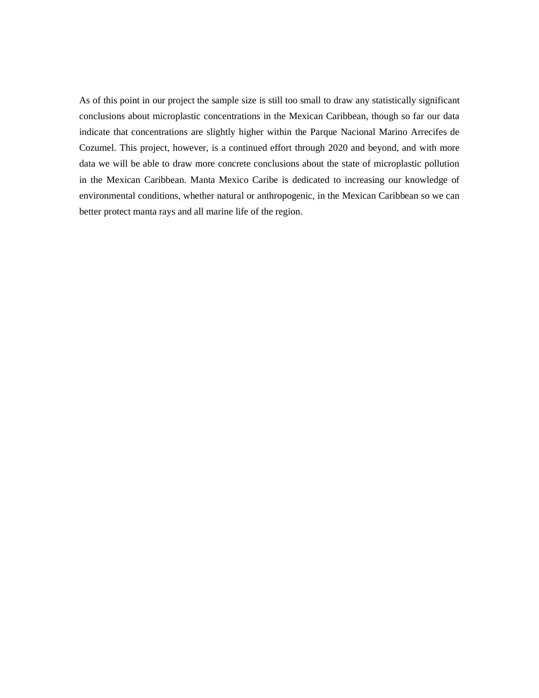As of this point in our project the sample size is still too small to draw any statistically significant conclusions about microplastic concentrations in the Mexican Caribbean, though so far our data indicate that concentrations are slightly higher within the Parque Nacional Marino Arrecifes de Cozumel. This project, however, is a continued effort through 2020 and beyond, and with more data we will be able to draw more concrete conclusions about the state of microplastic pollution in the Mexican Caribbean. Manta Mexico Caribe is dedicated to increasing our knowledge of environmental conditions, whether natural or anthropogenic, in the Mexican Caribbean so we can better protect manta rays and all marine life of the region.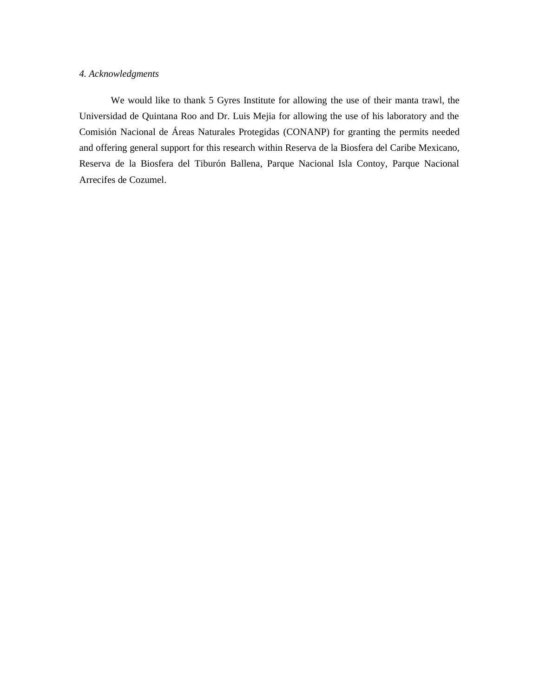# *4. Acknowledgments*

We would like to thank 5 Gyres Institute for allowing the use of their manta trawl, the Universidad de Quintana Roo and Dr. Luis Mejia for allowing the use of his laboratory and the Comisión Nacional de Áreas Naturales Protegidas (CONANP) for granting the permits needed and offering general support for this research within Reserva de la Biosfera del Caribe Mexicano, Reserva de la Biosfera del Tiburón Ballena, Parque Nacional Isla Contoy, Parque Nacional Arrecifes de Cozumel.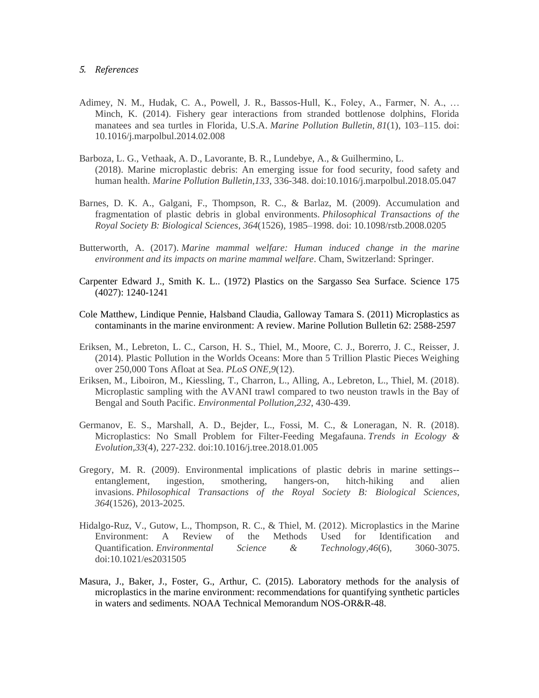#### *5. References*

- Adimey, N. M., Hudak, C. A., Powell, J. R., Bassos-Hull, K., Foley, A., Farmer, N. A., … Minch, K. (2014). Fishery gear interactions from stranded bottlenose dolphins, Florida manatees and sea turtles in Florida, U.S.A. *Marine Pollution Bulletin*, *81*(1), 103–115. doi: 10.1016/j.marpolbul.2014.02.008
- Barboza, L. G., Vethaak, A. D., Lavorante, B. R., Lundebye, A., & Guilhermino, L. (2018). Marine microplastic debris: An emerging issue for food security, food safety and human health. *Marine Pollution Bulletin,133*, 336-348. doi:10.1016/j.marpolbul.2018.05.047
- Barnes, D. K. A., Galgani, F., Thompson, R. C., & Barlaz, M. (2009). Accumulation and fragmentation of plastic debris in global environments. *Philosophical Transactions of the Royal Society B: Biological Sciences*, *364*(1526), 1985–1998. doi: 10.1098/rstb.2008.0205
- Butterworth, A. (2017). *Marine mammal welfare: Human induced change in the marine environment and its impacts on marine mammal welfare*. Cham, Switzerland: Springer.
- Carpenter Edward J., Smith K. L.. (1972) Plastics on the Sargasso Sea Surface. Science 175 (4027): 1240-1241
- Cole Matthew, Lindique Pennie, Halsband Claudia, Galloway Tamara S. (2011) Microplastics as contaminants in the marine environment: A review. Marine Pollution Bulletin 62: 2588-2597
- Eriksen, M., Lebreton, L. C., Carson, H. S., Thiel, M., Moore, C. J., Borerro, J. C., Reisser, J. (2014). Plastic Pollution in the Worlds Oceans: More than 5 Trillion Plastic Pieces Weighing over 250,000 Tons Afloat at Sea. *PLoS ONE,9*(12).
- Eriksen, M., Liboiron, M., Kiessling, T., Charron, L., Alling, A., Lebreton, L., Thiel, M. (2018). Microplastic sampling with the AVANI trawl compared to two neuston trawls in the Bay of Bengal and South Pacific. *Environmental Pollution,232*, 430-439.
- Germanov, E. S., Marshall, A. D., Bejder, L., Fossi, M. C., & Loneragan, N. R. (2018). Microplastics: No Small Problem for Filter-Feeding Megafauna. *Trends in Ecology & Evolution,33*(4), 227-232. doi:10.1016/j.tree.2018.01.005
- Gregory, M. R. (2009). Environmental implications of plastic debris in marine settings- entanglement, ingestion, smothering, hangers-on, hitch-hiking and alien invasions. *Philosophical Transactions of the Royal Society B: Biological Sciences, 364*(1526), 2013-2025.
- Hidalgo-Ruz, V., Gutow, L., Thompson, R. C., & Thiel, M. (2012). Microplastics in the Marine Environment: A Review of the Methods Used for Identification and Quantification. *Environmental Science & Technology,46*(6), 3060-3075. doi:10.1021/es2031505
- Masura, J., Baker, J., Foster, G., Arthur, C. (2015). Laboratory methods for the analysis of microplastics in the marine environment: recommendations for quantifying synthetic particles in waters and sediments. NOAA Technical Memorandum NOS-OR&R-48.